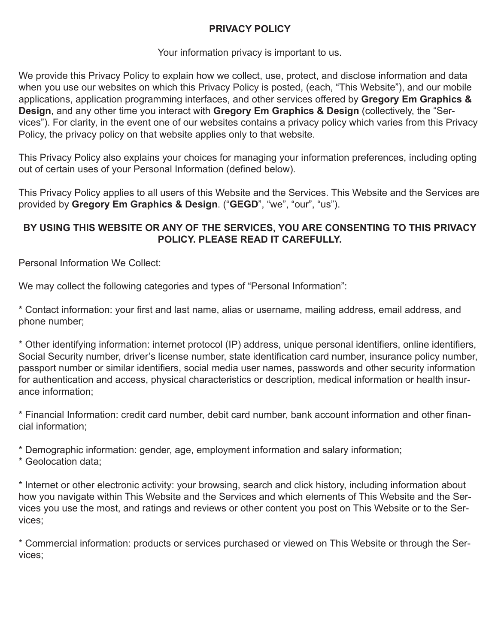## **PRIVACY POLICY**

#### Your information privacy is important to us.

We provide this Privacy Policy to explain how we collect, use, protect, and disclose information and data when you use our websites on which this Privacy Policy is posted, (each, "This Website"), and our mobile applications, application programming interfaces, and other services offered by **Gregory Em Graphics & Design**, and any other time you interact with **Gregory Em Graphics & Design** (collectively, the "Services"). For clarity, in the event one of our websites contains a privacy policy which varies from this Privacy Policy, the privacy policy on that website applies only to that website.

This Privacy Policy also explains your choices for managing your information preferences, including opting out of certain uses of your Personal Information (defined below).

This Privacy Policy applies to all users of this Website and the Services. This Website and the Services are provided by **Gregory Em Graphics & Design**. ("**GEGD**", "we", "our", "us").

## **BY USING THIS WEBSITE OR ANY OF THE SERVICES, YOU ARE CONSENTING TO THIS PRIVACY POLICY. PLEASE READ IT CAREFULLY.**

Personal Information We Collect:

We may collect the following categories and types of "Personal Information":

\* Contact information: your first and last name, alias or username, mailing address, email address, and phone number;

\* Other identifying information: internet protocol (IP) address, unique personal identifiers, online identifiers, Social Security number, driver's license number, state identification card number, insurance policy number, passport number or similar identifiers, social media user names, passwords and other security information for authentication and access, physical characteristics or description, medical information or health insurance information;

\* Financial Information: credit card number, debit card number, bank account information and other financial information;

\* Demographic information: gender, age, employment information and salary information;

\* Geolocation data;

\* Internet or other electronic activity: your browsing, search and click history, including information about how you navigate within This Website and the Services and which elements of This Website and the Services you use the most, and ratings and reviews or other content you post on This Website or to the Services;

\* Commercial information: products or services purchased or viewed on This Website or through the Services;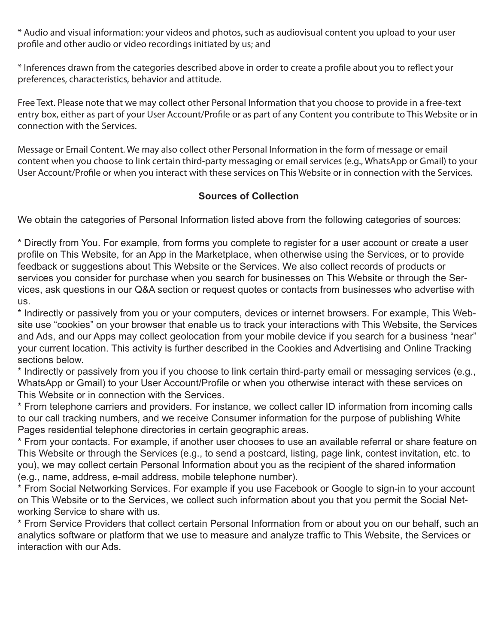\* Audio and visual information: your videos and photos, such as audiovisual content you upload to your user profile and other audio or video recordings initiated by us; and

\* Inferences drawn from the categories described above in order to create a profile about you to reflect your preferences, characteristics, behavior and attitude.

Free Text. Please note that we may collect other Personal Information that you choose to provide in a free-text entry box, either as part of your User Account/Profile or as part of any Content you contribute to This Website or in connection with the Services.

Message or Email Content. We may also collect other Personal Information in the form of message or email content when you choose to link certain third-party messaging or email services (e.g., WhatsApp or Gmail) to your User Account/Profile or when you interact with these services on This Website or in connection with the Services.

## **Sources of Collection**

We obtain the categories of Personal Information listed above from the following categories of sources:

\* Directly from You. For example, from forms you complete to register for a user account or create a user profile on This Website, for an App in the Marketplace, when otherwise using the Services, or to provide feedback or suggestions about This Website or the Services. We also collect records of products or services you consider for purchase when you search for businesses on This Website or through the Services, ask questions in our Q&A section or request quotes or contacts from businesses who advertise with us.

\* Indirectly or passively from you or your computers, devices or internet browsers. For example, This Website use "cookies" on your browser that enable us to track your interactions with This Website, the Services and Ads, and our Apps may collect geolocation from your mobile device if you search for a business "near" your current location. This activity is further described in the Cookies and Advertising and Online Tracking sections below.

\* Indirectly or passively from you if you choose to link certain third-party email or messaging services (e.g., WhatsApp or Gmail) to your User Account/Profile or when you otherwise interact with these services on This Website or in connection with the Services.

\* From telephone carriers and providers. For instance, we collect caller ID information from incoming calls to our call tracking numbers, and we receive Consumer information for the purpose of publishing White Pages residential telephone directories in certain geographic areas.

\* From your contacts. For example, if another user chooses to use an available referral or share feature on This Website or through the Services (e.g., to send a postcard, listing, page link, contest invitation, etc. to you), we may collect certain Personal Information about you as the recipient of the shared information (e.g., name, address, e-mail address, mobile telephone number).

\* From Social Networking Services. For example if you use Facebook or Google to sign-in to your account on This Website or to the Services, we collect such information about you that you permit the Social Networking Service to share with us.

\* From Service Providers that collect certain Personal Information from or about you on our behalf, such an analytics software or platform that we use to measure and analyze traffic to This Website, the Services or interaction with our Ads.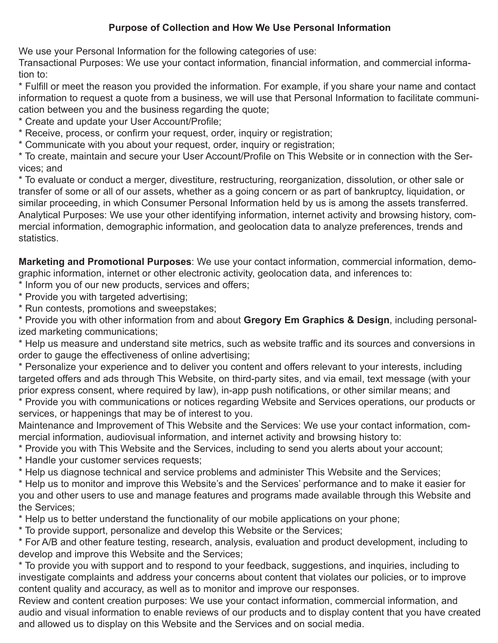## **Purpose of Collection and How We Use Personal Information**

We use your Personal Information for the following categories of use:

Transactional Purposes: We use your contact information, financial information, and commercial information to:

\* Fulfill or meet the reason you provided the information. For example, if you share your name and contact information to request a quote from a business, we will use that Personal Information to facilitate communication between you and the business regarding the quote;

\* Create and update your User Account/Profile;

\* Receive, process, or confirm your request, order, inquiry or registration;

\* Communicate with you about your request, order, inquiry or registration;

\* To create, maintain and secure your User Account/Profile on This Website or in connection with the Services; and

\* To evaluate or conduct a merger, divestiture, restructuring, reorganization, dissolution, or other sale or transfer of some or all of our assets, whether as a going concern or as part of bankruptcy, liquidation, or similar proceeding, in which Consumer Personal Information held by us is among the assets transferred. Analytical Purposes: We use your other identifying information, internet activity and browsing history, commercial information, demographic information, and geolocation data to analyze preferences, trends and statistics.

**Marketing and Promotional Purposes**: We use your contact information, commercial information, demographic information, internet or other electronic activity, geolocation data, and inferences to:

\* Inform you of our new products, services and offers;

\* Provide you with targeted advertising;

\* Run contests, promotions and sweepstakes;

\* Provide you with other information from and about **Gregory Em Graphics & Design**, including personalized marketing communications;

\* Help us measure and understand site metrics, such as website traffic and its sources and conversions in order to gauge the effectiveness of online advertising;

\* Personalize your experience and to deliver you content and offers relevant to your interests, including targeted offers and ads through This Website, on third-party sites, and via email, text message (with your prior express consent, where required by law), in-app push notifications, or other similar means; and

\* Provide you with communications or notices regarding Website and Services operations, our products or services, or happenings that may be of interest to you.

Maintenance and Improvement of This Website and the Services: We use your contact information, commercial information, audiovisual information, and internet activity and browsing history to:

\* Provide you with This Website and the Services, including to send you alerts about your account;

\* Handle your customer services requests;

\* Help us diagnose technical and service problems and administer This Website and the Services;

\* Help us to monitor and improve this Website's and the Services' performance and to make it easier for you and other users to use and manage features and programs made available through this Website and the Services;

\* Help us to better understand the functionality of our mobile applications on your phone;

\* To provide support, personalize and develop this Website or the Services;

\* For A/B and other feature testing, research, analysis, evaluation and product development, including to develop and improve this Website and the Services;

\* To provide you with support and to respond to your feedback, suggestions, and inquiries, including to investigate complaints and address your concerns about content that violates our policies, or to improve content quality and accuracy, as well as to monitor and improve our responses.

Review and content creation purposes: We use your contact information, commercial information, and audio and visual information to enable reviews of our products and to display content that you have created and allowed us to display on this Website and the Services and on social media.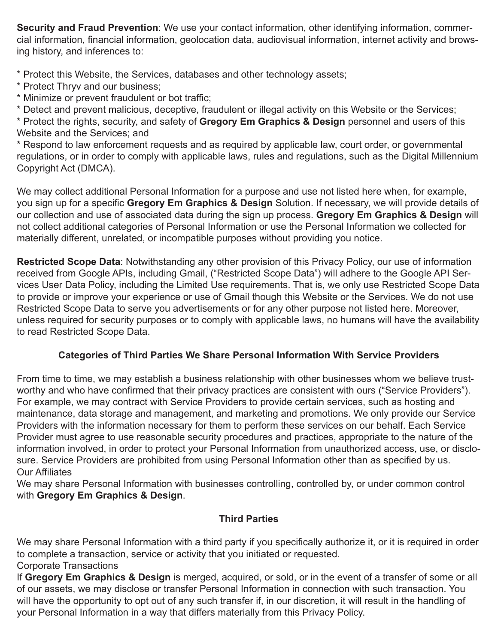**Security and Fraud Prevention**: We use your contact information, other identifying information, commercial information, financial information, geolocation data, audiovisual information, internet activity and browsing history, and inferences to:

\* Protect this Website, the Services, databases and other technology assets;

- \* Protect Thryv and our business;
- \* Minimize or prevent fraudulent or bot traffic;

\* Detect and prevent malicious, deceptive, fraudulent or illegal activity on this Website or the Services; \* Protect the rights, security, and safety of **Gregory Em Graphics & Design** personnel and users of this Website and the Services; and

\* Respond to law enforcement requests and as required by applicable law, court order, or governmental regulations, or in order to comply with applicable laws, rules and regulations, such as the Digital Millennium Copyright Act (DMCA).

We may collect additional Personal Information for a purpose and use not listed here when, for example, you sign up for a specific **Gregory Em Graphics & Design** Solution. If necessary, we will provide details of our collection and use of associated data during the sign up process. **Gregory Em Graphics & Design** will not collect additional categories of Personal Information or use the Personal Information we collected for materially different, unrelated, or incompatible purposes without providing you notice.

**Restricted Scope Data**: Notwithstanding any other provision of this Privacy Policy, our use of information received from Google APIs, including Gmail, ("Restricted Scope Data") will adhere to the Google API Services User Data Policy, including the Limited Use requirements. That is, we only use Restricted Scope Data to provide or improve your experience or use of Gmail though this Website or the Services. We do not use Restricted Scope Data to serve you advertisements or for any other purpose not listed here. Moreover, unless required for security purposes or to comply with applicable laws, no humans will have the availability to read Restricted Scope Data.

## **Categories of Third Parties We Share Personal Information With Service Providers**

From time to time, we may establish a business relationship with other businesses whom we believe trustworthy and who have confirmed that their privacy practices are consistent with ours ("Service Providers"). For example, we may contract with Service Providers to provide certain services, such as hosting and maintenance, data storage and management, and marketing and promotions. We only provide our Service Providers with the information necessary for them to perform these services on our behalf. Each Service Provider must agree to use reasonable security procedures and practices, appropriate to the nature of the information involved, in order to protect your Personal Information from unauthorized access, use, or disclosure. Service Providers are prohibited from using Personal Information other than as specified by us. Our Affiliates

We may share Personal Information with businesses controlling, controlled by, or under common control with **Gregory Em Graphics & Design**.

## **Third Parties**

We may share Personal Information with a third party if you specifically authorize it, or it is required in order to complete a transaction, service or activity that you initiated or requested. Corporate Transactions

If **Gregory Em Graphics & Design** is merged, acquired, or sold, or in the event of a transfer of some or all of our assets, we may disclose or transfer Personal Information in connection with such transaction. You will have the opportunity to opt out of any such transfer if, in our discretion, it will result in the handling of your Personal Information in a way that differs materially from this Privacy Policy.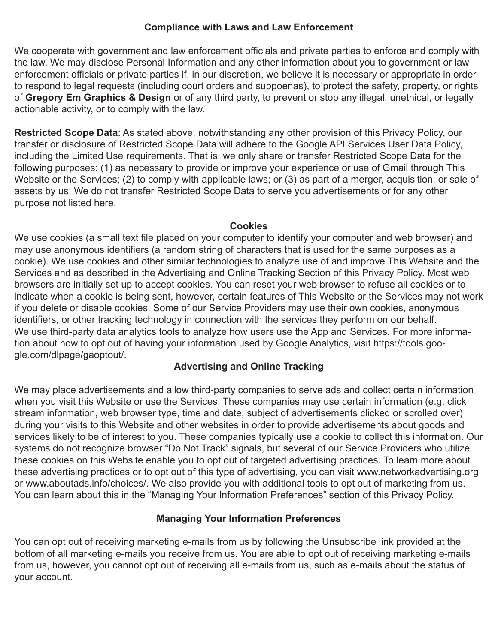#### **Compliance with Laws and Law Enforcement**

We cooperate with government and law enforcement officials and private parties to enforce and comply with the law. We may disclose Personal Information and any other information about you to government or law enforcement officials or private parties if, in our discretion, we believe it is necessary or appropriate in order to respond to legal requests (including court orders and subpoenas), to protect the safety, property, or rights of **Gregory Em Graphics & Design** or of any third party, to prevent or stop any illegal, unethical, or legally actionable activity, or to comply with the law.

**Restricted Scope Data**: As stated above, notwithstanding any other provision of this Privacy Policy, our transfer or disclosure of Restricted Scope Data will adhere to the Google API Services User Data Policy, including the Limited Use requirements. That is, we only share or transfer Restricted Scope Data for the following purposes: (1) as necessary to provide or improve your experience or use of Gmail through This Website or the Services; (2) to comply with applicable laws; or (3) as part of a merger, acquisition, or sale of assets by us. We do not transfer Restricted Scope Data to serve you advertisements or for any other purpose not listed here.

#### **Cookies**

We use cookies (a small text file placed on your computer to identify your computer and web browser) and may use anonymous identifiers (a random string of characters that is used for the same purposes as a cookie). We use cookies and other similar technologies to analyze use of and improve This Website and the Services and as described in the Advertising and Online Tracking Section of this Privacy Policy. Most web browsers are initially set up to accept cookies. You can reset your web browser to refuse all cookies or to indicate when a cookie is being sent, however, certain features of This Website or the Services may not work if you delete or disable cookies. Some of our Service Providers may use their own cookies, anonymous identifiers, or other tracking technology in connection with the services they perform on our behalf. We use third-party data analytics tools to analyze how users use the App and Services. For more information about how to opt out of having your information used by Google Analytics, visit https://tools.google.com/dlpage/gaoptout/.

## **Advertising and Online Tracking**

We may place advertisements and allow third-party companies to serve ads and collect certain information when you visit this Website or use the Services. These companies may use certain information (e.g. click stream information, web browser type, time and date, subject of advertisements clicked or scrolled over) during your visits to this Website and other websites in order to provide advertisements about goods and services likely to be of interest to you. These companies typically use a cookie to collect this information. Our systems do not recognize browser "Do Not Track" signals, but several of our Service Providers who utilize these cookies on this Website enable you to opt out of targeted advertising practices. To learn more about these advertising practices or to opt out of this type of advertising, you can visit www.networkadvertising.org or www.aboutads.info/choices/. We also provide you with additional tools to opt out of marketing from us. You can learn about this in the "Managing Your Information Preferences" section of this Privacy Policy.

## **Managing Your Information Preferences**

You can opt out of receiving marketing e-mails from us by following the Unsubscribe link provided at the bottom of all marketing e-mails you receive from us. You are able to opt out of receiving marketing e-mails from us, however, you cannot opt out of receiving all e-mails from us, such as e-mails about the status of your account.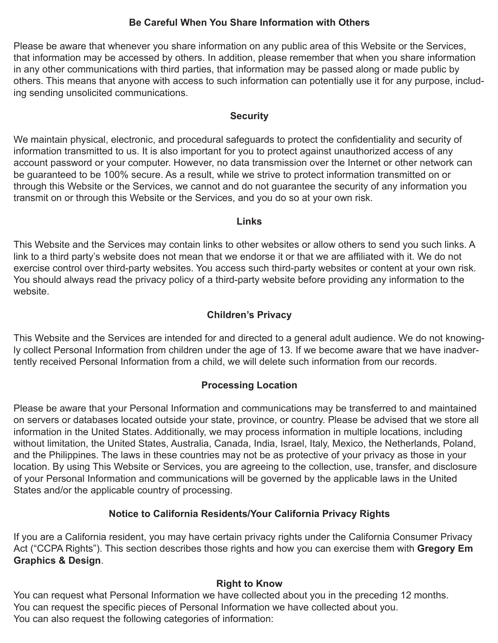## **Be Careful When You Share Information with Others**

Please be aware that whenever you share information on any public area of this Website or the Services, that information may be accessed by others. In addition, please remember that when you share information in any other communications with third parties, that information may be passed along or made public by others. This means that anyone with access to such information can potentially use it for any purpose, including sending unsolicited communications.

#### **Security**

We maintain physical, electronic, and procedural safeguards to protect the confidentiality and security of information transmitted to us. It is also important for you to protect against unauthorized access of any account password or your computer. However, no data transmission over the Internet or other network can be guaranteed to be 100% secure. As a result, while we strive to protect information transmitted on or through this Website or the Services, we cannot and do not guarantee the security of any information you transmit on or through this Website or the Services, and you do so at your own risk.

#### **Links**

This Website and the Services may contain links to other websites or allow others to send you such links. A link to a third party's website does not mean that we endorse it or that we are affiliated with it. We do not exercise control over third-party websites. You access such third-party websites or content at your own risk. You should always read the privacy policy of a third-party website before providing any information to the website.

## **Children's Privacy**

This Website and the Services are intended for and directed to a general adult audience. We do not knowingly collect Personal Information from children under the age of 13. If we become aware that we have inadvertently received Personal Information from a child, we will delete such information from our records.

## **Processing Location**

Please be aware that your Personal Information and communications may be transferred to and maintained on servers or databases located outside your state, province, or country. Please be advised that we store all information in the United States. Additionally, we may process information in multiple locations, including without limitation, the United States, Australia, Canada, India, Israel, Italy, Mexico, the Netherlands, Poland, and the Philippines. The laws in these countries may not be as protective of your privacy as those in your location. By using This Website or Services, you are agreeing to the collection, use, transfer, and disclosure of your Personal Information and communications will be governed by the applicable laws in the United States and/or the applicable country of processing.

## **Notice to California Residents/Your California Privacy Rights**

If you are a California resident, you may have certain privacy rights under the California Consumer Privacy Act ("CCPA Rights"). This section describes those rights and how you can exercise them with **Gregory Em Graphics & Design**.

## **Right to Know**

You can request what Personal Information we have collected about you in the preceding 12 months. You can request the specific pieces of Personal Information we have collected about you. You can also request the following categories of information: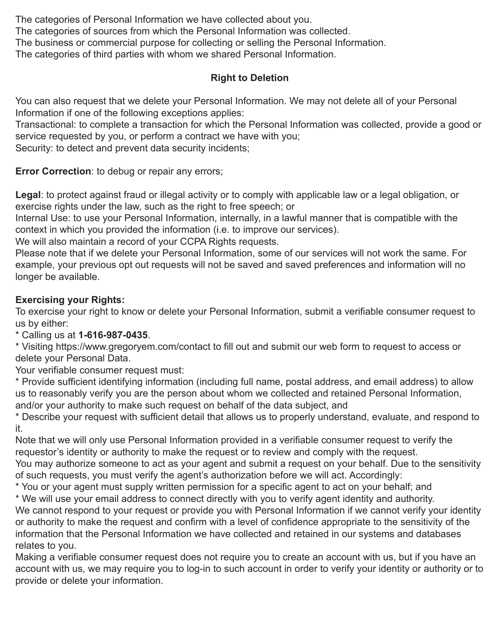The categories of Personal Information we have collected about you. The categories of sources from which the Personal Information was collected. The business or commercial purpose for collecting or selling the Personal Information. The categories of third parties with whom we shared Personal Information.

## **Right to Deletion**

You can also request that we delete your Personal Information. We may not delete all of your Personal Information if one of the following exceptions applies:

Transactional: to complete a transaction for which the Personal Information was collected, provide a good or service requested by you, or perform a contract we have with you;

Security: to detect and prevent data security incidents;

**Error Correction:** to debug or repair any errors;

**Legal**: to protect against fraud or illegal activity or to comply with applicable law or a legal obligation, or exercise rights under the law, such as the right to free speech; or

Internal Use: to use your Personal Information, internally, in a lawful manner that is compatible with the context in which you provided the information (i.e. to improve our services).

We will also maintain a record of your CCPA Rights requests.

Please note that if we delete your Personal Information, some of our services will not work the same. For example, your previous opt out requests will not be saved and saved preferences and information will no longer be available.

## **Exercising your Rights:**

To exercise your right to know or delete your Personal Information, submit a verifiable consumer request to us by either:

\* Calling us at **1-616-987-0435**.

\* Visiting https://www.gregoryem.com/contact to fill out and submit our web form to request to access or delete your Personal Data.

Your verifiable consumer request must:

\* Provide sufficient identifying information (including full name, postal address, and email address) to allow us to reasonably verify you are the person about whom we collected and retained Personal Information, and/or your authority to make such request on behalf of the data subject, and

\* Describe your request with sufficient detail that allows us to properly understand, evaluate, and respond to it.

Note that we will only use Personal Information provided in a verifiable consumer request to verify the requestor's identity or authority to make the request or to review and comply with the request. You may authorize someone to act as your agent and submit a request on your behalf. Due to the sensitivity of such requests, you must verify the agent's authorization before we will act. Accordingly:

\* You or your agent must supply written permission for a specific agent to act on your behalf; and

\* We will use your email address to connect directly with you to verify agent identity and authority. We cannot respond to your request or provide you with Personal Information if we cannot verify your identity or authority to make the request and confirm with a level of confidence appropriate to the sensitivity of the information that the Personal Information we have collected and retained in our systems and databases relates to you.

Making a verifiable consumer request does not require you to create an account with us, but if you have an account with us, we may require you to log-in to such account in order to verify your identity or authority or to provide or delete your information.